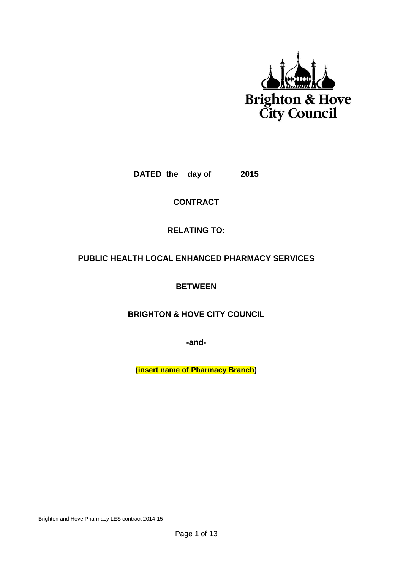

**DATED the day of 2015**

**CONTRACT**

# **RELATING TO:**

# **PUBLIC HEALTH LOCAL ENHANCED PHARMACY SERVICES**

**BETWEEN**

**BRIGHTON & HOVE CITY COUNCIL**

**-and-**

**(insert name of Pharmacy Branch)**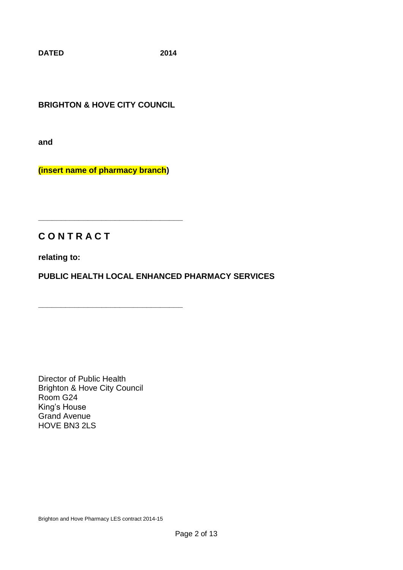**DATED 2014**

**BRIGHTON & HOVE CITY COUNCIL**

**and**

**(insert name of pharmacy branch)**

**\_\_\_\_\_\_\_\_\_\_\_\_\_\_\_\_\_\_\_\_\_\_\_\_\_\_\_\_\_\_\_\_**

**\_\_\_\_\_\_\_\_\_\_\_\_\_\_\_\_\_\_\_\_\_\_\_\_\_\_\_\_\_\_\_\_**

# **C O N T R A C T**

**relating to:**

**PUBLIC HEALTH LOCAL ENHANCED PHARMACY SERVICES**

Director of Public Health Brighton & Hove City Council Room G24 King's House Grand Avenue HOVE BN3 2LS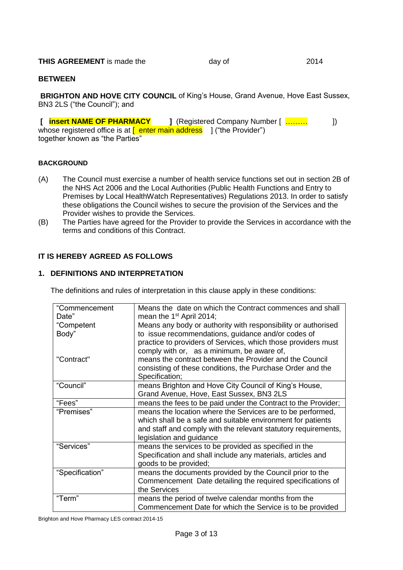#### **THIS AGREEMENT** is made the day of **2014**

#### **BETWEEN**

**BRIGHTON AND HOVE CITY COUNCIL** of King's House, Grand Avenue, Hove East Sussex, BN3 2LS ("the Council"); and

**[ insert NAME OF PHARMACY ]** (Registered Company Number [ ……… ]) whose registered office is at  $\sqrt{ }$  enter main address  $\sqrt{ }$  ("the Provider") together known as "the Parties"

#### **BACKGROUND**

- (A) The Council must exercise a number of health service functions set out in section 2B of the NHS Act 2006 and the Local Authorities (Public Health Functions and Entry to Premises by Local HealthWatch Representatives) Regulations 2013. In order to satisfy these obligations the Council wishes to secure the provision of the Services and the Provider wishes to provide the Services.
- (B) The Parties have agreed for the Provider to provide the Services in accordance with the terms and conditions of this Contract.

## **IT IS HEREBY AGREED AS FOLLOWS**

#### **1. DEFINITIONS AND INTERPRETATION**

The definitions and rules of interpretation in this clause apply in these conditions:

| "Commencement   | Means the date on which the Contract commences and shall                                                         |
|-----------------|------------------------------------------------------------------------------------------------------------------|
| Date"           | mean the 1 <sup>st</sup> April 2014;                                                                             |
| "Competent      | Means any body or authority with responsibility or authorised                                                    |
| Body"           | to issue recommendations, guidance and/or codes of                                                               |
|                 | practice to providers of Services, which those providers must                                                    |
|                 | comply with or, as a minimum, be aware of,                                                                       |
| "Contract"      | means the contract between the Provider and the Council                                                          |
|                 | consisting of these conditions, the Purchase Order and the                                                       |
|                 | Specification;                                                                                                   |
| "Council"       | means Brighton and Hove City Council of King's House,                                                            |
|                 | Grand Avenue, Hove, East Sussex, BN3 2LS                                                                         |
| "Fees"          | means the fees to be paid under the Contract to the Provider;                                                    |
| "Premises"      | means the location where the Services are to be performed,                                                       |
|                 | which shall be a safe and suitable environment for patients                                                      |
|                 | and staff and comply with the relevant statutory requirements,                                                   |
|                 |                                                                                                                  |
|                 | legislation and guidance                                                                                         |
| "Services"      | means the services to be provided as specified in the                                                            |
|                 | Specification and shall include any materials, articles and                                                      |
|                 | goods to be provided;                                                                                            |
| "Specification" | means the documents provided by the Council prior to the                                                         |
|                 | Commencement Date detailing the required specifications of                                                       |
|                 | the Services                                                                                                     |
| "Term"          | means the period of twelve calendar months from the<br>Commencement Date for which the Service is to be provided |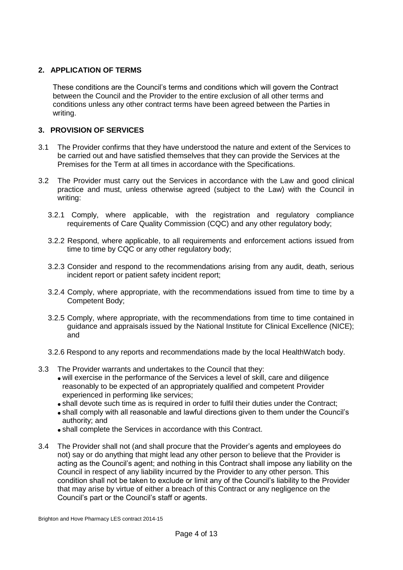## **2. APPLICATION OF TERMS**

These conditions are the Council's terms and conditions which will govern the Contract between the Council and the Provider to the entire exclusion of all other terms and conditions unless any other contract terms have been agreed between the Parties in writing.

#### **3. PROVISION OF SERVICES**

- 3.1 The Provider confirms that they have understood the nature and extent of the Services to be carried out and have satisfied themselves that they can provide the Services at the Premises for the Term at all times in accordance with the Specifications.
- 3.2 The Provider must carry out the Services in accordance with the Law and good clinical practice and must, unless otherwise agreed (subject to the Law) with the Council in writing:
	- 3.2.1 Comply, where applicable, with the registration and regulatory compliance requirements of Care Quality Commission (CQC) and any other regulatory body;
	- 3.2.2 Respond, where applicable, to all requirements and enforcement actions issued from time to time by CQC or any other regulatory body;
	- 3.2.3 Consider and respond to the recommendations arising from any audit, death, serious incident report or patient safety incident report;
	- 3.2.4 Comply, where appropriate, with the recommendations issued from time to time by a Competent Body;
	- 3.2.5 Comply, where appropriate, with the recommendations from time to time contained in guidance and appraisals issued by the National Institute for Clinical Excellence (NICE); and
	- 3.2.6 Respond to any reports and recommendations made by the local HealthWatch body.
- 3.3 The Provider warrants and undertakes to the Council that they:
	- will exercise in the performance of the Services a level of skill, care and diligence reasonably to be expected of an appropriately qualified and competent Provider experienced in performing like services;
	- shall devote such time as is required in order to fulfil their duties under the Contract;
	- shall comply with all reasonable and lawful directions given to them under the Council's authority; and
	- shall complete the Services in accordance with this Contract.
- 3.4 The Provider shall not (and shall procure that the Provider's agents and employees do not) say or do anything that might lead any other person to believe that the Provider is acting as the Council's agent; and nothing in this Contract shall impose any liability on the Council in respect of any liability incurred by the Provider to any other person. This condition shall not be taken to exclude or limit any of the Council's liability to the Provider that may arise by virtue of either a breach of this Contract or any negligence on the Council's part or the Council's staff or agents.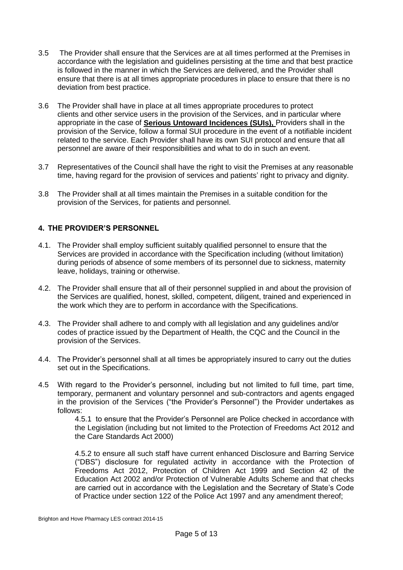- 3.5 The Provider shall ensure that the Services are at all times performed at the Premises in accordance with the legislation and guidelines persisting at the time and that best practice is followed in the manner in which the Services are delivered, and the Provider shall ensure that there is at all times appropriate procedures in place to ensure that there is no deviation from best practice.
- 3.6 The Provider shall have in place at all times appropriate procedures to protect clients and other service users in the provision of the Services, and in particular where appropriate in the case of **Serious Untoward Incidences (SUIs),** Providers shall in the provision of the Service, follow a formal SUI procedure in the event of a notifiable incident related to the service. Each Provider shall have its own SUI protocol and ensure that all personnel are aware of their responsibilities and what to do in such an event.
- 3.7 Representatives of the Council shall have the right to visit the Premises at any reasonable time, having regard for the provision of services and patients' right to privacy and dignity.
- 3.8 The Provider shall at all times maintain the Premises in a suitable condition for the provision of the Services, for patients and personnel.

#### **4. THE PROVIDER'S PERSONNEL**

- 4.1. The Provider shall employ sufficient suitably qualified personnel to ensure that the Services are provided in accordance with the Specification including (without limitation) during periods of absence of some members of its personnel due to sickness, maternity leave, holidays, training or otherwise.
- 4.2. The Provider shall ensure that all of their personnel supplied in and about the provision of the Services are qualified, honest, skilled, competent, diligent, trained and experienced in the work which they are to perform in accordance with the Specifications.
- 4.3. The Provider shall adhere to and comply with all legislation and any guidelines and/or codes of practice issued by the Department of Health, the CQC and the Council in the provision of the Services.
- 4.4. The Provider's personnel shall at all times be appropriately insured to carry out the duties set out in the Specifications.
- 4.5 With regard to the Provider's personnel, including but not limited to full time, part time, temporary, permanent and voluntary personnel and sub-contractors and agents engaged in the provision of the Services ("the Provider's Personnel") the Provider undertakes as follows:

4.5.1 to ensure that the Provider's Personnel are Police checked in accordance with the Legislation (including but not limited to the Protection of Freedoms Act 2012 and the Care Standards Act 2000)

4.5.2 to ensure all such staff have current enhanced Disclosure and Barring Service ("DBS") disclosure for regulated activity in accordance with the Protection of Freedoms Act 2012, Protection of Children Act 1999 and Section 42 of the Education Act 2002 and/or Protection of Vulnerable Adults Scheme and that checks are carried out in accordance with the Legislation and the Secretary of State's Code of Practice under section 122 of the Police Act 1997 and any amendment thereof;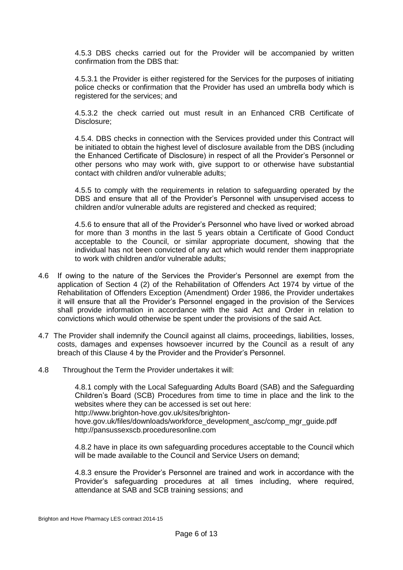4.5.3 DBS checks carried out for the Provider will be accompanied by written confirmation from the DBS that:

4.5.3.1 the Provider is either registered for the Services for the purposes of initiating police checks or confirmation that the Provider has used an umbrella body which is registered for the services; and

4.5.3.2 the check carried out must result in an Enhanced CRB Certificate of Disclosure;

4.5.4. DBS checks in connection with the Services provided under this Contract will be initiated to obtain the highest level of disclosure available from the DBS (including the Enhanced Certificate of Disclosure) in respect of all the Provider's Personnel or other persons who may work with, give support to or otherwise have substantial contact with children and/or vulnerable adults;

4.5.5 to comply with the requirements in relation to safeguarding operated by the DBS and ensure that all of the Provider's Personnel with unsupervised access to children and/or vulnerable adults are registered and checked as required;

4.5.6 to ensure that all of the Provider's Personnel who have lived or worked abroad for more than 3 months in the last 5 years obtain a Certificate of Good Conduct acceptable to the Council, or similar appropriate document, showing that the individual has not been convicted of any act which would render them inappropriate to work with children and/or vulnerable adults;

- 4.6 If owing to the nature of the Services the Provider's Personnel are exempt from the application of Section 4 (2) of the Rehabilitation of Offenders Act 1974 by virtue of the Rehabilitation of Offenders Exception (Amendment) Order 1986, the Provider undertakes it will ensure that all the Provider's Personnel engaged in the provision of the Services shall provide information in accordance with the said Act and Order in relation to convictions which would otherwise be spent under the provisions of the said Act.
- 4.7 The Provider shall indemnify the Council against all claims, proceedings, liabilities, losses, costs, damages and expenses howsoever incurred by the Council as a result of any breach of this Clause 4 by the Provider and the Provider's Personnel.
- 4.8 Throughout the Term the Provider undertakes it will:

4.8.1 comply with the Local Safeguarding Adults Board (SAB) and the Safeguarding Children's Board (SCB) Procedures from time to time in place and the link to the websites where they can be accessed is set out here: http://www.brighton-hove.gov.uk/sites/brightonhove.gov.uk/files/downloads/workforce\_development\_asc/comp\_mgr\_guide.pdf http://pansussexscb.proceduresonline.com

4.8.2 have in place its own safeguarding procedures acceptable to the Council which will be made available to the Council and Service Users on demand;

4.8.3 ensure the Provider's Personnel are trained and work in accordance with the Provider's safeguarding procedures at all times including, where required, attendance at SAB and SCB training sessions; and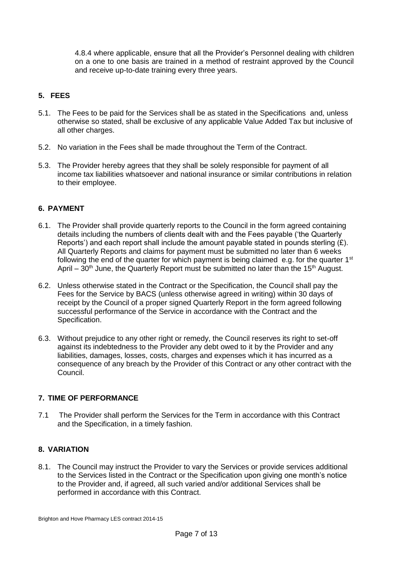4.8.4 where applicable, ensure that all the Provider's Personnel dealing with children on a one to one basis are trained in a method of restraint approved by the Council and receive up-to-date training every three years.

# **5. FEES**

- 5.1. The Fees to be paid for the Services shall be as stated in the Specifications and, unless otherwise so stated, shall be exclusive of any applicable Value Added Tax but inclusive of all other charges.
- 5.2. No variation in the Fees shall be made throughout the Term of the Contract.
- 5.3. The Provider hereby agrees that they shall be solely responsible for payment of all income tax liabilities whatsoever and national insurance or similar contributions in relation to their employee.

## **6. PAYMENT**

- 6.1. The Provider shall provide quarterly reports to the Council in the form agreed containing details including the numbers of clients dealt with and the Fees payable ('the Quarterly Reports') and each report shall include the amount payable stated in pounds sterling  $(E)$ . All Quarterly Reports and claims for payment must be submitted no later than 6 weeks following the end of the quarter for which payment is being claimed e.g. for the quarter  $1<sup>st</sup>$ April –  $30<sup>th</sup>$  June, the Quarterly Report must be submitted no later than the 15<sup>th</sup> August.
- 6.2. Unless otherwise stated in the Contract or the Specification, the Council shall pay the Fees for the Service by BACS (unless otherwise agreed in writing) within 30 days of receipt by the Council of a proper signed Quarterly Report in the form agreed following successful performance of the Service in accordance with the Contract and the Specification.
- 6.3. Without prejudice to any other right or remedy, the Council reserves its right to set-off against its indebtedness to the Provider any debt owed to it by the Provider and any liabilities, damages, losses, costs, charges and expenses which it has incurred as a consequence of any breach by the Provider of this Contract or any other contract with the Council.

## **7. TIME OF PERFORMANCE**

7.1 The Provider shall perform the Services for the Term in accordance with this Contract and the Specification, in a timely fashion.

## **8. VARIATION**

8.1. The Council may instruct the Provider to vary the Services or provide services additional to the Services listed in the Contract or the Specification upon giving one month's notice to the Provider and, if agreed, all such varied and/or additional Services shall be performed in accordance with this Contract.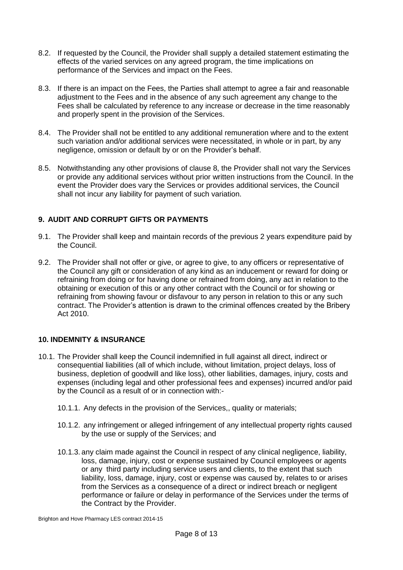- 8.2. If requested by the Council, the Provider shall supply a detailed statement estimating the effects of the varied services on any agreed program, the time implications on performance of the Services and impact on the Fees.
- 8.3. If there is an impact on the Fees, the Parties shall attempt to agree a fair and reasonable adjustment to the Fees and in the absence of any such agreement any change to the Fees shall be calculated by reference to any increase or decrease in the time reasonably and properly spent in the provision of the Services.
- 8.4. The Provider shall not be entitled to any additional remuneration where and to the extent such variation and/or additional services were necessitated, in whole or in part, by any negligence, omission or default by or on the Provider's behalf.
- 8.5. Notwithstanding any other provisions of clause 8, the Provider shall not vary the Services or provide any additional services without prior written instructions from the Council. In the event the Provider does vary the Services or provides additional services, the Council shall not incur any liability for payment of such variation.

## **9. AUDIT AND CORRUPT GIFTS OR PAYMENTS**

- 9.1. The Provider shall keep and maintain records of the previous 2 years expenditure paid by the Council.
- 9.2. The Provider shall not offer or give, or agree to give, to any officers or representative of the Council any gift or consideration of any kind as an inducement or reward for doing or refraining from doing or for having done or refrained from doing, any act in relation to the obtaining or execution of this or any other contract with the Council or for showing or refraining from showing favour or disfavour to any person in relation to this or any such contract. The Provider's attention is drawn to the criminal offences created by the Bribery Act 2010.

## **10. INDEMNITY & INSURANCE**

- 10.1. The Provider shall keep the Council indemnified in full against all direct, indirect or consequential liabilities (all of which include, without limitation, project delays, loss of business, depletion of goodwill and like loss), other liabilities, damages, injury, costs and expenses (including legal and other professional fees and expenses) incurred and/or paid by the Council as a result of or in connection with:-
	- 10.1.1. Any defects in the provision of the Services,, quality or materials;
	- 10.1.2. any infringement or alleged infringement of any intellectual property rights caused by the use or supply of the Services; and
	- 10.1.3. any claim made against the Council in respect of any clinical negligence, liability, loss, damage, injury, cost or expense sustained by Council employees or agents or any third party including service users and clients, to the extent that such liability, loss, damage, injury, cost or expense was caused by, relates to or arises from the Services as a consequence of a direct or indirect breach or negligent performance or failure or delay in performance of the Services under the terms of the Contract by the Provider.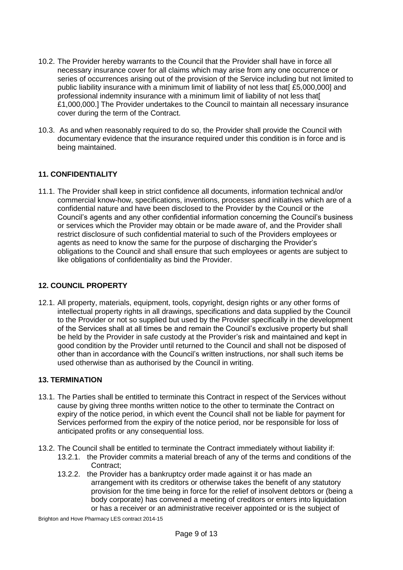- 10.2. The Provider hereby warrants to the Council that the Provider shall have in force all necessary insurance cover for all claims which may arise from any one occurrence or series of occurrences arising out of the provision of the Service including but not limited to public liability insurance with a minimum limit of liability of not less that  $£5.000.0001$  and professional indemnity insurance with a minimum limit of liability of not less that[ £1,000,000.] The Provider undertakes to the Council to maintain all necessary insurance cover during the term of the Contract.
- 10.3. As and when reasonably required to do so, the Provider shall provide the Council with documentary evidence that the insurance required under this condition is in force and is being maintained.

## **11. CONFIDENTIALITY**

11.1. The Provider shall keep in strict confidence all documents, information technical and/or commercial know-how, specifications, inventions, processes and initiatives which are of a confidential nature and have been disclosed to the Provider by the Council or the Council's agents and any other confidential information concerning the Council's business or services which the Provider may obtain or be made aware of, and the Provider shall restrict disclosure of such confidential material to such of the Providers employees or agents as need to know the same for the purpose of discharging the Provider's obligations to the Council and shall ensure that such employees or agents are subject to like obligations of confidentiality as bind the Provider.

## **12. COUNCIL PROPERTY**

12.1. All property, materials, equipment, tools, copyright, design rights or any other forms of intellectual property rights in all drawings, specifications and data supplied by the Council to the Provider or not so supplied but used by the Provider specifically in the development of the Services shall at all times be and remain the Council's exclusive property but shall be held by the Provider in safe custody at the Provider's risk and maintained and kept in good condition by the Provider until returned to the Council and shall not be disposed of other than in accordance with the Council's written instructions, nor shall such items be used otherwise than as authorised by the Council in writing.

## **13. TERMINATION**

- 13.1. The Parties shall be entitled to terminate this Contract in respect of the Services without cause by giving three months written notice to the other to terminate the Contract on expiry of the notice period, in which event the Council shall not be liable for payment for Services performed from the expiry of the notice period, nor be responsible for loss of anticipated profits or any consequential loss.
- 13.2. The Council shall be entitled to terminate the Contract immediately without liability if:
	- 13.2.1. the Provider commits a material breach of any of the terms and conditions of the Contract:
	- 13.2.2. the Provider has a bankruptcy order made against it or has made an arrangement with its creditors or otherwise takes the benefit of any statutory provision for the time being in force for the relief of insolvent debtors or (being a body corporate) has convened a meeting of creditors or enters into liquidation or has a receiver or an administrative receiver appointed or is the subject of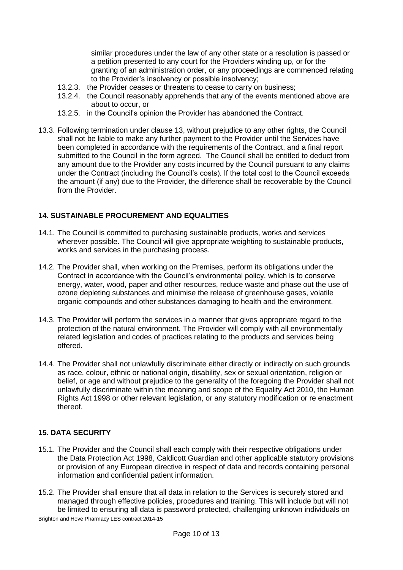similar procedures under the law of any other state or a resolution is passed or a petition presented to any court for the Providers winding up, or for the granting of an administration order, or any proceedings are commenced relating to the Provider's insolvency or possible insolvency;

- 13.2.3. the Provider ceases or threatens to cease to carry on business;
- 13.2.4. the Council reasonably apprehends that any of the events mentioned above are about to occur, or
- 13.2.5. in the Council's opinion the Provider has abandoned the Contract.
- 13.3. Following termination under clause 13, without prejudice to any other rights, the Council shall not be liable to make any further payment to the Provider until the Services have been completed in accordance with the requirements of the Contract, and a final report submitted to the Council in the form agreed. The Council shall be entitled to deduct from any amount due to the Provider any costs incurred by the Council pursuant to any claims under the Contract (including the Council's costs). If the total cost to the Council exceeds the amount (if any) due to the Provider, the difference shall be recoverable by the Council from the Provider.

## **14. SUSTAINABLE PROCUREMENT AND EQUALITIES**

- 14.1. The Council is committed to purchasing sustainable products, works and services wherever possible. The Council will give appropriate weighting to sustainable products, works and services in the purchasing process.
- 14.2. The Provider shall, when working on the Premises, perform its obligations under the Contract in accordance with the Council's environmental policy, which is to conserve energy, water, wood, paper and other resources, reduce waste and phase out the use of ozone depleting substances and minimise the release of greenhouse gases, volatile organic compounds and other substances damaging to health and the environment.
- 14.3. The Provider will perform the services in a manner that gives appropriate regard to the protection of the natural environment. The Provider will comply with all environmentally related legislation and codes of practices relating to the products and services being offered.
- 14.4. The Provider shall not unlawfully discriminate either directly or indirectly on such grounds as race, colour, ethnic or national origin, disability, sex or sexual orientation, religion or belief, or age and without prejudice to the generality of the foregoing the Provider shall not unlawfully discriminate within the meaning and scope of the Equality Act 2010, the Human Rights Act 1998 or other relevant legislation, or any statutory modification or re enactment thereof.

#### **15. DATA SECURITY**

- 15.1. The Provider and the Council shall each comply with their respective obligations under the Data Protection Act 1998, Caldicott Guardian and other applicable statutory provisions or provision of any European directive in respect of data and records containing personal information and confidential patient information.
- Brighton and Hove Pharmacy LES contract 2014-15 15.2. The Provider shall ensure that all data in relation to the Services is securely stored and managed through effective policies, procedures and training. This will include but will not be limited to ensuring all data is password protected, challenging unknown individuals on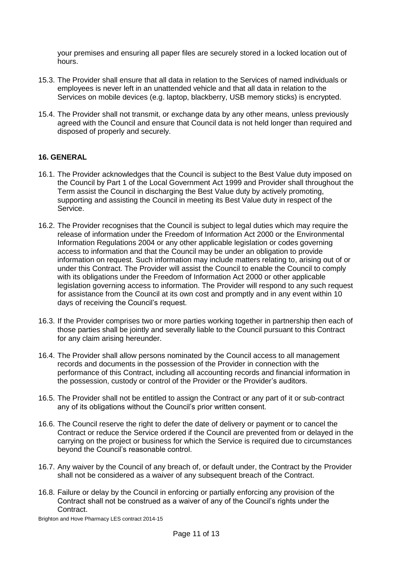your premises and ensuring all paper files are securely stored in a locked location out of hours.

- 15.3. The Provider shall ensure that all data in relation to the Services of named individuals or employees is never left in an unattended vehicle and that all data in relation to the Services on mobile devices (e.g. laptop, blackberry, USB memory sticks) is encrypted.
- 15.4. The Provider shall not transmit, or exchange data by any other means, unless previously agreed with the Council and ensure that Council data is not held longer than required and disposed of properly and securely.

#### **16. GENERAL**

- 16.1. The Provider acknowledges that the Council is subject to the Best Value duty imposed on the Council by Part 1 of the Local Government Act 1999 and Provider shall throughout the Term assist the Council in discharging the Best Value duty by actively promoting, supporting and assisting the Council in meeting its Best Value duty in respect of the Service.
- 16.2. The Provider recognises that the Council is subject to legal duties which may require the release of information under the Freedom of Information Act 2000 or the Environmental Information Regulations 2004 or any other applicable legislation or codes governing access to information and that the Council may be under an obligation to provide information on request. Such information may include matters relating to, arising out of or under this Contract. The Provider will assist the Council to enable the Council to comply with its obligations under the Freedom of Information Act 2000 or other applicable legislation governing access to information. The Provider will respond to any such request for assistance from the Council at its own cost and promptly and in any event within 10 days of receiving the Council's request.
- 16.3. If the Provider comprises two or more parties working together in partnership then each of those parties shall be jointly and severally liable to the Council pursuant to this Contract for any claim arising hereunder.
- 16.4. The Provider shall allow persons nominated by the Council access to all management records and documents in the possession of the Provider in connection with the performance of this Contract, including all accounting records and financial information in the possession, custody or control of the Provider or the Provider's auditors.
- 16.5. The Provider shall not be entitled to assign the Contract or any part of it or sub-contract any of its obligations without the Council's prior written consent.
- 16.6. The Council reserve the right to defer the date of delivery or payment or to cancel the Contract or reduce the Service ordered if the Council are prevented from or delayed in the carrying on the project or business for which the Service is required due to circumstances beyond the Council's reasonable control.
- 16.7. Any waiver by the Council of any breach of, or default under, the Contract by the Provider shall not be considered as a waiver of any subsequent breach of the Contract.
- 16.8. Failure or delay by the Council in enforcing or partially enforcing any provision of the Contract shall not be construed as a waiver of any of the Council's rights under the Contract.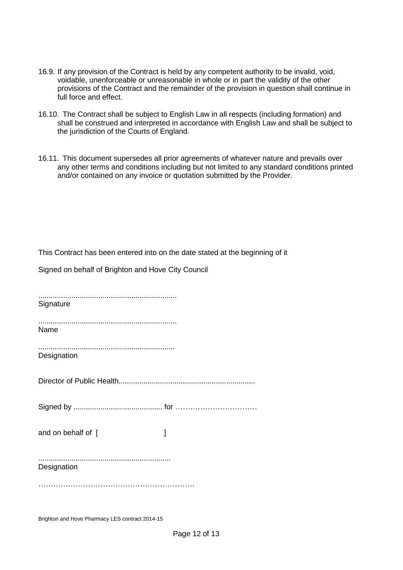- 16.9. If any provision of the Contract is held by any competent authority to be invalid, void, voidable, unenforceable or unreasonable in whole or in part the validity of the other provisions of the Contract and the remainder of the provision in question shall continue in full force and effect.
- 16.10. The Contract shall be subject to English Law in all respects (including formation) and shall be construed and interpreted in accordance with English Law and shall be subject to the jurisdiction of the Courts of England.
- 16.11. This document supersedes all prior agreements of whatever nature and prevails over any other terms and conditions including but not limited to any standard conditions printed and/or contained on any invoice or quotation submitted by the Provider.

This Contract has been entered into on the date stated at the beginning of it

Signed on behalf of Brighton and Hove City Council

| Signature          |   |
|--------------------|---|
| Name               |   |
| Designation        |   |
|                    |   |
|                    |   |
| and on behalf of [ | 1 |
| Designation        |   |
|                    |   |